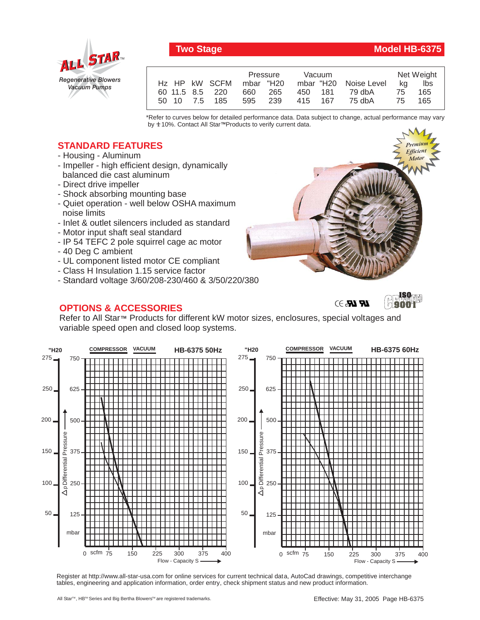

## **Two Stage Model HB-6375**

|                         | Pressure | Vacuum                | Net Weight |
|-------------------------|----------|-----------------------|------------|
| Hz HP kW SCFM mbar "H20 |          | mbar "H20 Noise Level | lbs<br>ka  |
| 60 11.5 8.5 220         | 660 265  | 79 dbA<br>450 181     | 75<br>165  |
| 50 10 7.5 185           | 595 239  | 75 dbA<br>415 167     | 165<br>75  |

\*Refer to curves below for detailed performance data. Data subject to change, actual performance may vary by **+** 10%. Contact All Star™Products to verify current data.

## **STANDARD FEATURES**

- Housing Aluminum
- Impeller high efficient design, dynamically balanced die cast aluminum
- Direct drive impeller
- Shock absorbing mounting base
- Quiet operation well below OSHA maximum noise limits
- Inlet & outlet silencers included as standard
- Motor input shaft seal standard
- IP 54 TEFC 2 pole squirrel cage ac motor
- 40 Deg C ambient
- UL component listed motor CE compliant
- Class H Insulation 1.15 service factor
- Standard voltage 3/60/208-230/460 & 3/50/220/380

## **OPTIONS & ACCESSORIES**







Refer to All Star™ Products for different kW motor sizes, enclosures, special voltages and variable speed open and closed loop systems.



Register at http://www.all-star-usa.com for online services for current technical data, AutoCad drawings, competitive interchange tables, engineering and application information, order entry, check shipment status and new product information.